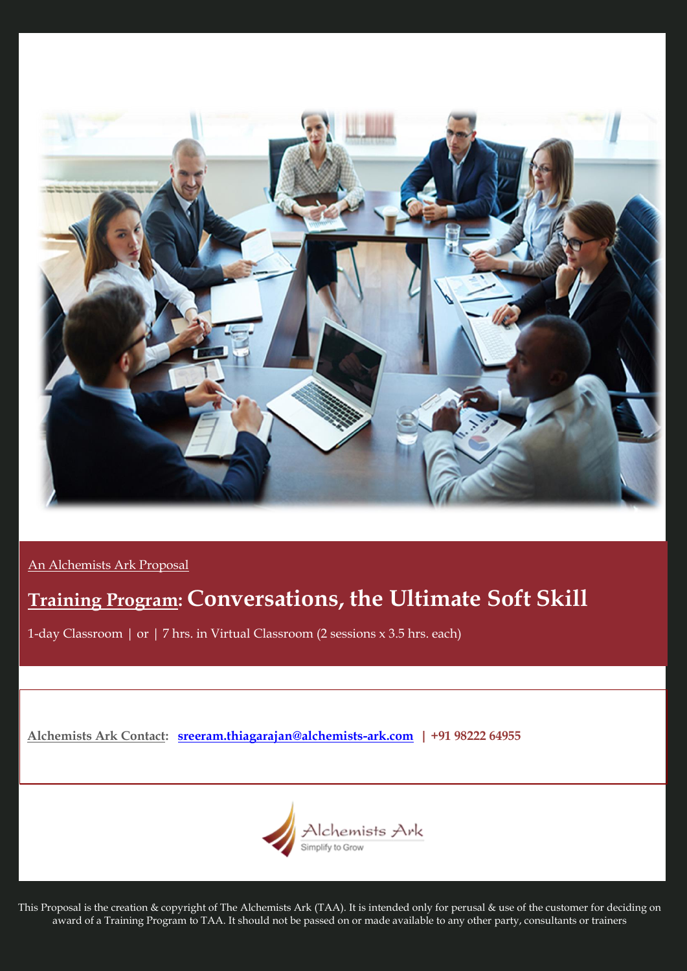

An Alchemists Ark Proposal

# **Training Program: Conversations, the Ultimate Soft Skill**

1-day Classroom | or | 7 hrs. in Virtual Classroom (2 sessions x 3.5 hrs. each)

**Alchemists Ark Contact: [sreeram.thiagarajan@alchemists-ark.com](mailto:sreeram.thiagarajan@alchemists-ark.com) | +91 98222 64955**



This Proposal is the creation & copyright of The Alchemists Ark (TAA). It is intended only for perusal & use of the customer for deciding on award of a Training Program to TAA. It should not be passed on or made available to any other party, consultants or trainers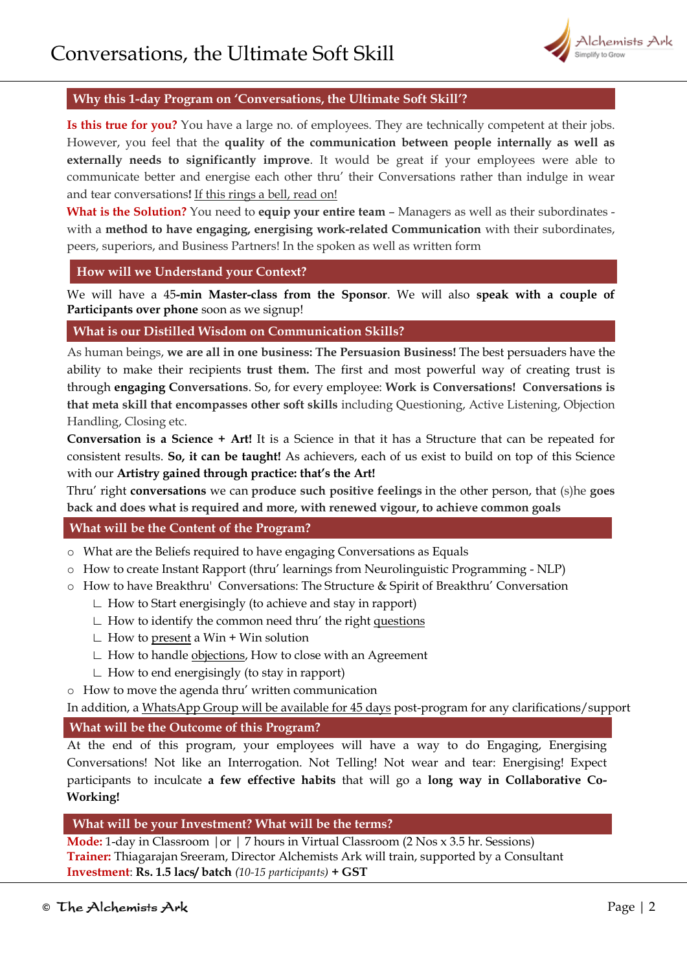

## **Why this 1-day Program on 'Conversations, the Ultimate Soft Skill'?**

**Is this true for you?** You have a large no. of employees. They are technically competent at their jobs. However, you feel that the **quality of the communication between people internally as well as externally needs to significantly improve**. It would be great if your employees were able to communicate better and energise each other thru' their Conversations rather than indulge in wear and tear conversations**!** If this rings a bell, read on!

**What is the Solution?** You need to **equip your entire team** – Managers as well as their subordinates with a **method to have engaging, energising work-related Communication** with their subordinates, peers, superiors, and Business Partners! In the spoken as well as written form

## **How will we Understand your Context?**

We will have a 45**-min Master-class from the Sponsor**. We will also **speak with a couple of Participants over phone** soon as we signup!

## **What is our Distilled Wisdom on Communication Skills?**

As human beings, **we are all in one business: The Persuasion Business!** The best persuaders have the ability to make their recipients **trust them.** The first and most powerful way of creating trust is through **engaging Conversations**. So, for every employee: **Work is Conversations! Conversations is that meta skill that encompasses other soft skills** including Questioning, Active Listening, Objection Handling, Closing etc.

**Conversation is a Science + Art!** It is a Science in that it has a Structure that can be repeated for consistent results. **So, it can be taught!** As achievers, each of us exist to build on top of this Science with our **Artistry gained through practice: that's the Art!** 

Thru' right **conversations** we can **produce such positive feelings** in the other person, that (s)he **goes back and does what is required and more, with renewed vigour, to achieve common goals**

## **What will be the Content of the Program?**

- o What are the Beliefs required to have engaging Conversations as Equals
- o How to create Instant Rapport (thru' learnings from Neurolinguistic Programming NLP)
- o How to have Breakthru' Conversations: The Structure & Spirit of Breakthru' Conversation
	- ∟ How to Start energisingly (to achieve and stay in rapport)
	- ∟ How to identify the common need thru' the right questions
	- ∟ How to present a Win + Win solution
	- ∟ How to handle objections, How to close with an Agreement
	- ∟ How to end energisingly (to stay in rapport)
- o How to move the agenda thru' written communication

In addition, a WhatsApp Group will be available for 45 days post-program for any clarifications/support **What will be the Outcome of this Program?**

At the end of this program, your employees will have a way to do Engaging, Energising Conversations! Not like an Interrogation. Not Telling! Not wear and tear: Energising! Expect participants to inculcate **a few effective habits** that will go a **long way in Collaborative Co-Working!**

## **What will be your Investment? What will be the terms?**

**Mode:** 1-day in Classroom |or | 7 hours in Virtual Classroom (2 Nos x 3.5 hr. Sessions) **Trainer:** Thiagarajan Sreeram, Director Alchemists Ark will train, supported by a Consultant **Investment**: **Rs. 1.5 lacs/ batch** *(10-15 participants)* **+ GST**